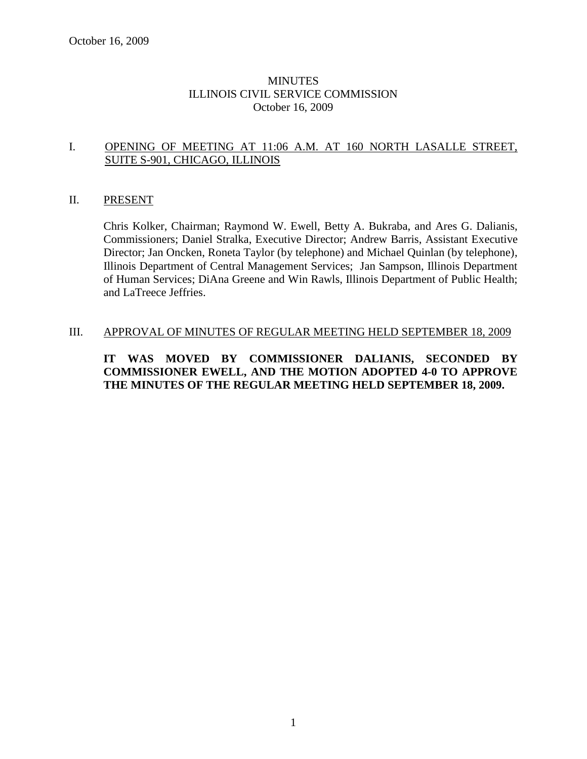# MINUTES ILLINOIS CIVIL SERVICE COMMISSION October 16, 2009

## I. OPENING OF MEETING AT 11:06 A.M. AT 160 NORTH LASALLE STREET, SUITE S-901, CHICAGO, ILLINOIS

## II. PRESENT

Chris Kolker, Chairman; Raymond W. Ewell, Betty A. Bukraba, and Ares G. Dalianis, Commissioners; Daniel Stralka, Executive Director; Andrew Barris, Assistant Executive Director; Jan Oncken, Roneta Taylor (by telephone) and Michael Quinlan (by telephone), Illinois Department of Central Management Services; Jan Sampson, Illinois Department of Human Services; DiAna Greene and Win Rawls, Illinois Department of Public Health; and LaTreece Jeffries.

#### III. APPROVAL OF MINUTES OF REGULAR MEETING HELD SEPTEMBER 18, 2009

# **IT WAS MOVED BY COMMISSIONER DALIANIS, SECONDED BY COMMISSIONER EWELL, AND THE MOTION ADOPTED 4-0 TO APPROVE THE MINUTES OF THE REGULAR MEETING HELD SEPTEMBER 18, 2009.**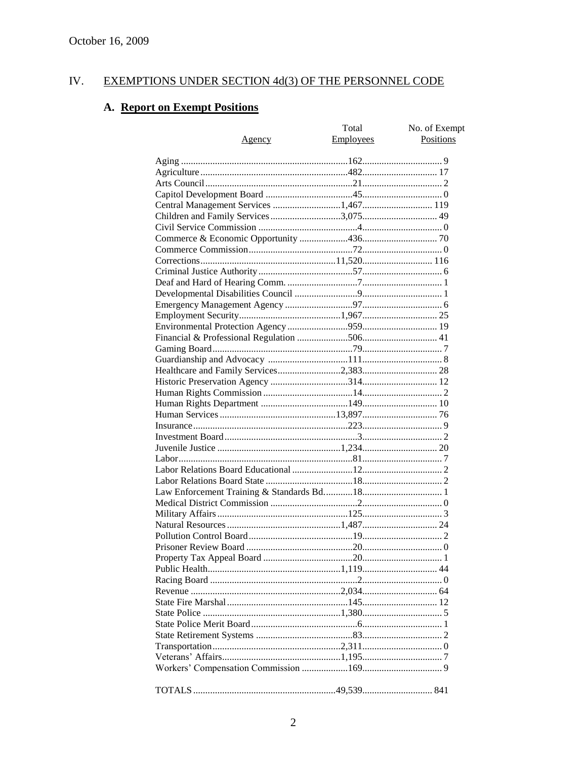#### IV. EXEMPTIONS UNDER SECTION 4d(3) OF THE PERSONNEL CODE

# A. Report on Exempt Positions

| <u>Agency</u>                         | Total<br>Employees | No. of Exempt<br><b>Positions</b> |
|---------------------------------------|--------------------|-----------------------------------|
|                                       |                    |                                   |
|                                       |                    |                                   |
|                                       |                    |                                   |
|                                       |                    |                                   |
| Central Management Services 1,467 119 |                    |                                   |
|                                       |                    |                                   |
|                                       |                    |                                   |
|                                       |                    |                                   |
|                                       |                    |                                   |
|                                       |                    |                                   |
|                                       |                    |                                   |
|                                       |                    |                                   |
|                                       |                    |                                   |
|                                       |                    |                                   |
|                                       |                    |                                   |
|                                       |                    |                                   |
|                                       |                    |                                   |
|                                       |                    |                                   |
|                                       |                    |                                   |
|                                       |                    |                                   |
|                                       |                    |                                   |
|                                       |                    |                                   |
|                                       |                    |                                   |
|                                       |                    |                                   |
|                                       |                    |                                   |
|                                       |                    |                                   |
|                                       |                    |                                   |
|                                       |                    |                                   |
|                                       |                    |                                   |
|                                       |                    |                                   |
|                                       |                    |                                   |
|                                       |                    |                                   |
|                                       |                    |                                   |
|                                       |                    |                                   |
|                                       |                    |                                   |
|                                       |                    |                                   |
|                                       |                    |                                   |
|                                       |                    |                                   |
|                                       |                    |                                   |
|                                       |                    |                                   |
|                                       |                    |                                   |
|                                       |                    |                                   |
|                                       |                    |                                   |
|                                       |                    |                                   |
|                                       |                    |                                   |
|                                       |                    |                                   |
|                                       |                    |                                   |
|                                       |                    |                                   |
|                                       |                    |                                   |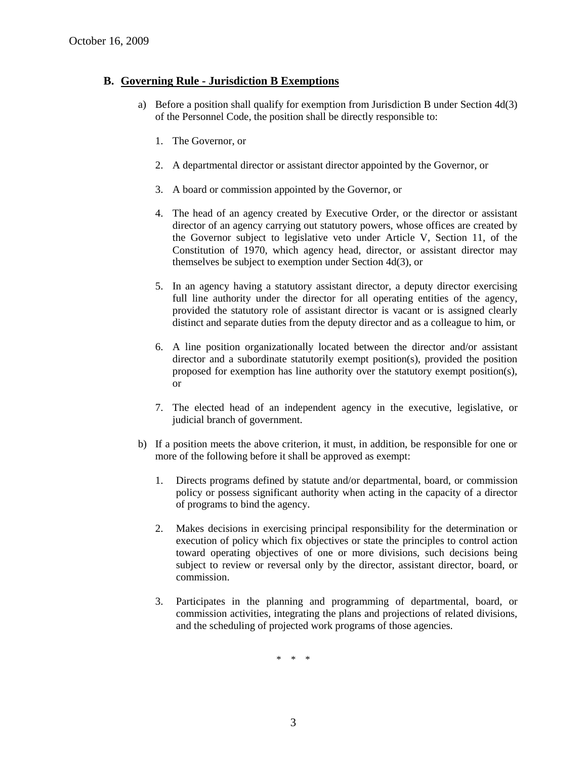# **B. Governing Rule - Jurisdiction B Exemptions**

- a) Before a position shall qualify for exemption from Jurisdiction B under Section 4d(3) of the Personnel Code, the position shall be directly responsible to:
	- 1. The Governor, or
	- 2. A departmental director or assistant director appointed by the Governor, or
	- 3. A board or commission appointed by the Governor, or
	- 4. The head of an agency created by Executive Order, or the director or assistant director of an agency carrying out statutory powers, whose offices are created by the Governor subject to legislative veto under Article V, Section 11, of the Constitution of 1970, which agency head, director, or assistant director may themselves be subject to exemption under Section 4d(3), or
	- 5. In an agency having a statutory assistant director, a deputy director exercising full line authority under the director for all operating entities of the agency, provided the statutory role of assistant director is vacant or is assigned clearly distinct and separate duties from the deputy director and as a colleague to him, or
	- 6. A line position organizationally located between the director and/or assistant director and a subordinate statutorily exempt position(s), provided the position proposed for exemption has line authority over the statutory exempt position(s), or
	- 7. The elected head of an independent agency in the executive, legislative, or judicial branch of government.
- b) If a position meets the above criterion, it must, in addition, be responsible for one or more of the following before it shall be approved as exempt:
	- 1. Directs programs defined by statute and/or departmental, board, or commission policy or possess significant authority when acting in the capacity of a director of programs to bind the agency.
	- 2. Makes decisions in exercising principal responsibility for the determination or execution of policy which fix objectives or state the principles to control action toward operating objectives of one or more divisions, such decisions being subject to review or reversal only by the director, assistant director, board, or commission.
	- 3. Participates in the planning and programming of departmental, board, or commission activities, integrating the plans and projections of related divisions, and the scheduling of projected work programs of those agencies.

\* \* \*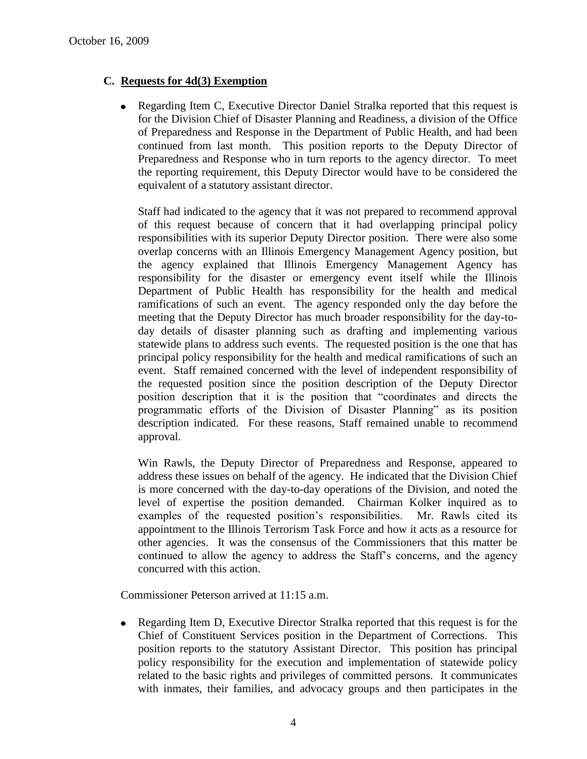# **C. Requests for 4d(3) Exemption**

• Regarding Item C, Executive Director Daniel Stralka reported that this request is for the Division Chief of Disaster Planning and Readiness, a division of the Office of Preparedness and Response in the Department of Public Health, and had been continued from last month. This position reports to the Deputy Director of Preparedness and Response who in turn reports to the agency director. To meet the reporting requirement, this Deputy Director would have to be considered the equivalent of a statutory assistant director.

Staff had indicated to the agency that it was not prepared to recommend approval of this request because of concern that it had overlapping principal policy responsibilities with its superior Deputy Director position. There were also some overlap concerns with an Illinois Emergency Management Agency position, but the agency explained that Illinois Emergency Management Agency has responsibility for the disaster or emergency event itself while the Illinois Department of Public Health has responsibility for the health and medical ramifications of such an event. The agency responded only the day before the meeting that the Deputy Director has much broader responsibility for the day-today details of disaster planning such as drafting and implementing various statewide plans to address such events. The requested position is the one that has principal policy responsibility for the health and medical ramifications of such an event. Staff remained concerned with the level of independent responsibility of the requested position since the position description of the Deputy Director position description that it is the position that "coordinates and directs the programmatic efforts of the Division of Disaster Planning" as its position description indicated. For these reasons, Staff remained unable to recommend approval.

Win Rawls, the Deputy Director of Preparedness and Response, appeared to address these issues on behalf of the agency. He indicated that the Division Chief is more concerned with the day-to-day operations of the Division, and noted the level of expertise the position demanded. Chairman Kolker inquired as to examples of the requested position's responsibilities. Mr. Rawls cited its appointment to the Illinois Terrorism Task Force and how it acts as a resource for other agencies. It was the consensus of the Commissioners that this matter be continued to allow the agency to address the Staff's concerns, and the agency concurred with this action.

Commissioner Peterson arrived at 11:15 a.m.

Regarding Item D, Executive Director Stralka reported that this request is for the Chief of Constituent Services position in the Department of Corrections. This position reports to the statutory Assistant Director. This position has principal policy responsibility for the execution and implementation of statewide policy related to the basic rights and privileges of committed persons. It communicates with inmates, their families, and advocacy groups and then participates in the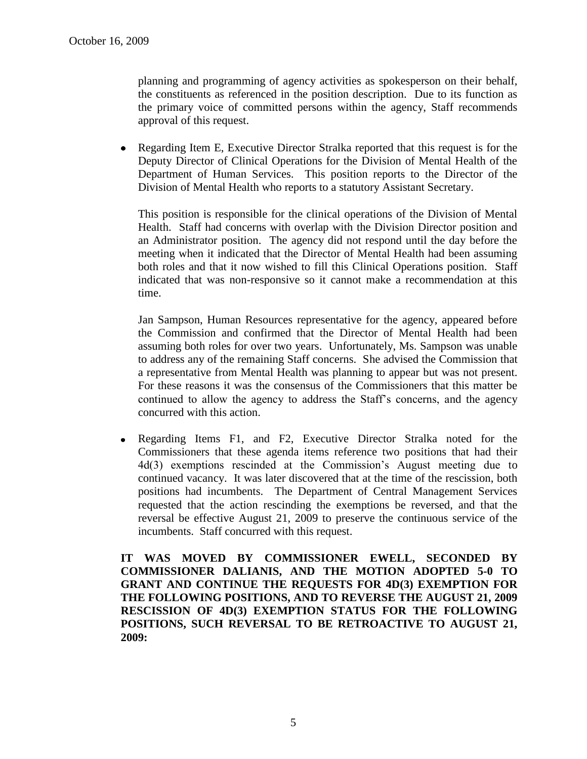planning and programming of agency activities as spokesperson on their behalf, the constituents as referenced in the position description. Due to its function as the primary voice of committed persons within the agency, Staff recommends approval of this request.

Regarding Item E, Executive Director Stralka reported that this request is for the  $\bullet$ Deputy Director of Clinical Operations for the Division of Mental Health of the Department of Human Services. This position reports to the Director of the Division of Mental Health who reports to a statutory Assistant Secretary.

This position is responsible for the clinical operations of the Division of Mental Health. Staff had concerns with overlap with the Division Director position and an Administrator position. The agency did not respond until the day before the meeting when it indicated that the Director of Mental Health had been assuming both roles and that it now wished to fill this Clinical Operations position. Staff indicated that was non-responsive so it cannot make a recommendation at this time.

Jan Sampson, Human Resources representative for the agency, appeared before the Commission and confirmed that the Director of Mental Health had been assuming both roles for over two years. Unfortunately, Ms. Sampson was unable to address any of the remaining Staff concerns. She advised the Commission that a representative from Mental Health was planning to appear but was not present. For these reasons it was the consensus of the Commissioners that this matter be continued to allow the agency to address the Staff's concerns, and the agency concurred with this action.

Regarding Items F1, and F2, Executive Director Stralka noted for the  $\bullet$ Commissioners that these agenda items reference two positions that had their 4d(3) exemptions rescinded at the Commission's August meeting due to continued vacancy. It was later discovered that at the time of the rescission, both positions had incumbents. The Department of Central Management Services requested that the action rescinding the exemptions be reversed, and that the reversal be effective August 21, 2009 to preserve the continuous service of the incumbents. Staff concurred with this request.

**IT WAS MOVED BY COMMISSIONER EWELL, SECONDED BY COMMISSIONER DALIANIS, AND THE MOTION ADOPTED 5-0 TO GRANT AND CONTINUE THE REQUESTS FOR 4D(3) EXEMPTION FOR THE FOLLOWING POSITIONS, AND TO REVERSE THE AUGUST 21, 2009 RESCISSION OF 4D(3) EXEMPTION STATUS FOR THE FOLLOWING POSITIONS, SUCH REVERSAL TO BE RETROACTIVE TO AUGUST 21, 2009:**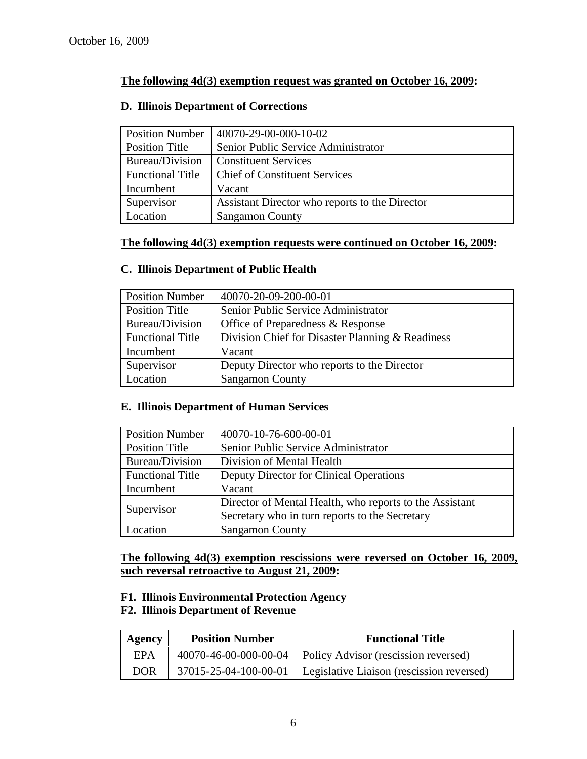# **The following 4d(3) exemption request was granted on October 16, 2009:**

# Position Number | 40070-29-00-000-10-02 Position Title Senior Public Service Administrator Bureau/Division Constituent Services Functional Title | Chief of Constituent Services Incumbent Vacant Supervisor | Assistant Director who reports to the Director Location Sangamon County

#### **D. Illinois Department of Corrections**

# **The following 4d(3) exemption requests were continued on October 16, 2009:**

## **C. Illinois Department of Public Health**

| <b>Position Number</b>  | 40070-20-09-200-00-01                            |
|-------------------------|--------------------------------------------------|
| Position Title          | Senior Public Service Administrator              |
| Bureau/Division         | Office of Preparedness & Response                |
| <b>Functional Title</b> | Division Chief for Disaster Planning & Readiness |
| Incumbent               | Vacant                                           |
| Supervisor              | Deputy Director who reports to the Director      |
| Location                | <b>Sangamon County</b>                           |

## **E. Illinois Department of Human Services**

| <b>Position Number</b>  | 40070-10-76-600-00-01                                   |
|-------------------------|---------------------------------------------------------|
| <b>Position Title</b>   | Senior Public Service Administrator                     |
| Bureau/Division         | Division of Mental Health                               |
| <b>Functional Title</b> | Deputy Director for Clinical Operations                 |
| Incumbent               | Vacant                                                  |
|                         | Director of Mental Health, who reports to the Assistant |
| Supervisor              | Secretary who in turn reports to the Secretary          |
| Location                | <b>Sangamon County</b>                                  |

**The following 4d(3) exemption rescissions were reversed on October 16, 2009, such reversal retroactive to August 21, 2009:**

## **F1. Illinois Environmental Protection Agency**

## **F2. Illinois Department of Revenue**

| Agency     | <b>Position Number</b> | <b>Functional Title</b>                                      |
|------------|------------------------|--------------------------------------------------------------|
| EPA        |                        | 40070-46-00-000-00-04   Policy Advisor (rescission reversed) |
| <b>DOR</b> | 37015-25-04-100-00-01  | Legislative Liaison (rescission reversed)                    |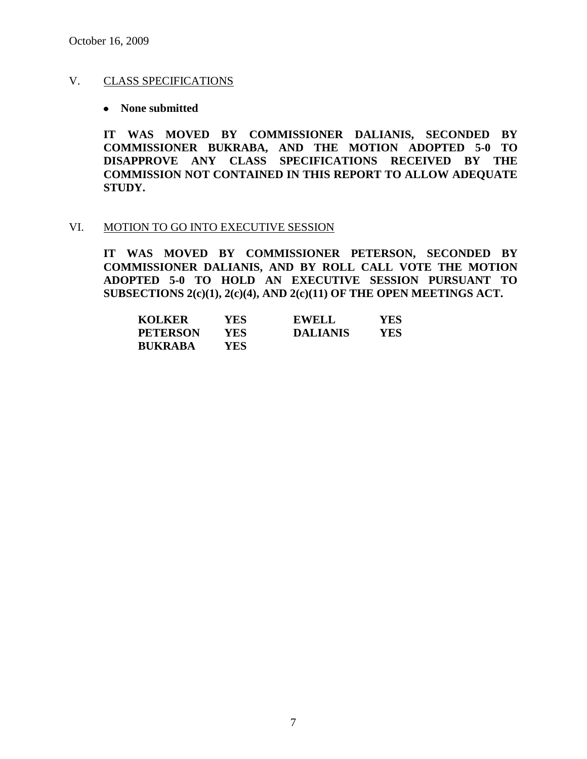## V. CLASS SPECIFICATIONS

#### **None submitted**

**IT WAS MOVED BY COMMISSIONER DALIANIS, SECONDED BY COMMISSIONER BUKRABA, AND THE MOTION ADOPTED 5-0 TO DISAPPROVE ANY CLASS SPECIFICATIONS RECEIVED BY THE COMMISSION NOT CONTAINED IN THIS REPORT TO ALLOW ADEQUATE STUDY.** 

## VI. MOTION TO GO INTO EXECUTIVE SESSION

**IT WAS MOVED BY COMMISSIONER PETERSON, SECONDED BY COMMISSIONER DALIANIS, AND BY ROLL CALL VOTE THE MOTION ADOPTED 5-0 TO HOLD AN EXECUTIVE SESSION PURSUANT TO SUBSECTIONS 2(c)(1), 2(c)(4), AND 2(c)(11) OF THE OPEN MEETINGS ACT.** 

| <b>KOLKER</b>   | YES. | <b>EWELL</b>    | YES |
|-----------------|------|-----------------|-----|
| <b>PETERSON</b> | YES. | <b>DALIANIS</b> | YES |
| <b>BUKRABA</b>  | YES  |                 |     |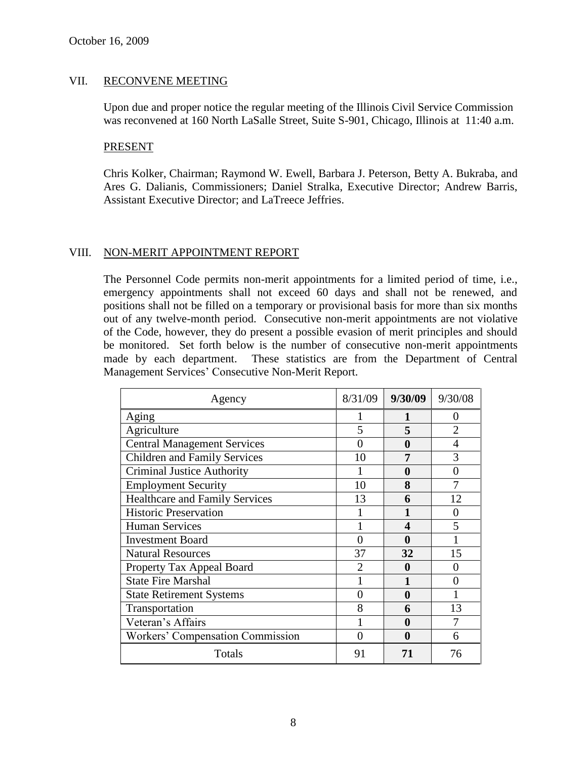# VII. RECONVENE MEETING

Upon due and proper notice the regular meeting of the Illinois Civil Service Commission was reconvened at 160 North LaSalle Street, Suite S-901, Chicago, Illinois at 11:40 a.m.

#### PRESENT

Chris Kolker, Chairman; Raymond W. Ewell, Barbara J. Peterson, Betty A. Bukraba, and Ares G. Dalianis, Commissioners; Daniel Stralka, Executive Director; Andrew Barris, Assistant Executive Director; and LaTreece Jeffries.

## VIII. NON-MERIT APPOINTMENT REPORT

The Personnel Code permits non-merit appointments for a limited period of time, i.e., emergency appointments shall not exceed 60 days and shall not be renewed, and positions shall not be filled on a temporary or provisional basis for more than six months out of any twelve-month period. Consecutive non-merit appointments are not violative of the Code, however, they do present a possible evasion of merit principles and should be monitored. Set forth below is the number of consecutive non-merit appointments made by each department. These statistics are from the Department of Central Management Services' Consecutive Non-Merit Report.

| Agency                                | 8/31/09        | 9/30/09 | 9/30/08        |
|---------------------------------------|----------------|---------|----------------|
| Aging                                 |                | 1       | $\mathbf{0}$   |
| Agriculture                           | 5              | 5       | $\overline{2}$ |
| <b>Central Management Services</b>    | 0              | 0       | 4              |
| <b>Children and Family Services</b>   | 10             | 7       | 3              |
| <b>Criminal Justice Authority</b>     |                | 0       | 0              |
| <b>Employment Security</b>            | 10             | 8       | 7              |
| <b>Healthcare and Family Services</b> | 13             | 6       | 12             |
| <b>Historic Preservation</b>          |                |         | 0              |
| <b>Human Services</b>                 |                | Δ       | 5              |
| <b>Investment Board</b>               | 0              |         |                |
| <b>Natural Resources</b>              | 37             | 32      | 15             |
| Property Tax Appeal Board             | $\overline{2}$ | O       | 0              |
| <b>State Fire Marshal</b>             |                |         | 0              |
| <b>State Retirement Systems</b>       | 0              | 0       |                |
| Transportation                        | 8              | 6       | 13             |
| Veteran's Affairs                     |                | 0       |                |
| Workers' Compensation Commission      | 0              | 0       | 6              |
| Totals                                | 91             | 71      | 76             |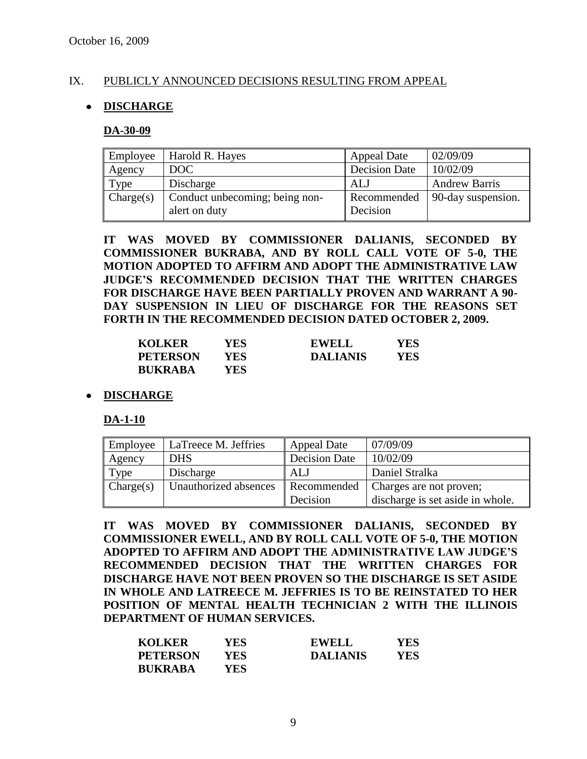# IX. PUBLICLY ANNOUNCED DECISIONS RESULTING FROM APPEAL

# **DISCHARGE**

#### **DA-30-09**

| Employee  | Harold R. Hayes                                 | <b>Appeal Date</b>      | 02/09/09             |
|-----------|-------------------------------------------------|-------------------------|----------------------|
| Agency    | DOC                                             | <b>Decision Date</b>    | 10/02/09             |
| Type      | Discharge                                       | <b>ALJ</b>              | <b>Andrew Barris</b> |
| Change(s) | Conduct unbecoming; being non-<br>alert on duty | Recommended<br>Decision | 90-day suspension.   |

**IT WAS MOVED BY COMMISSIONER DALIANIS, SECONDED BY COMMISSIONER BUKRABA, AND BY ROLL CALL VOTE OF 5-0, THE MOTION ADOPTED TO AFFIRM AND ADOPT THE ADMINISTRATIVE LAW JUDGE'S RECOMMENDED DECISION THAT THE WRITTEN CHARGES FOR DISCHARGE HAVE BEEN PARTIALLY PROVEN AND WARRANT A 90- DAY SUSPENSION IN LIEU OF DISCHARGE FOR THE REASONS SET FORTH IN THE RECOMMENDED DECISION DATED OCTOBER 2, 2009.**

| <b>KOLKER</b>   | YES. | <b>EWELL</b>    | YES |
|-----------------|------|-----------------|-----|
| <b>PETERSON</b> | YES  | <b>DALIANIS</b> | YES |
| <b>BUKRABA</b>  | YES. |                 |     |

## **DISCHARGE**

**DA-1-10**

| Employee  | LaTreece M. Jeffries  | <b>Appeal Date</b>   | 07/09/09                         |
|-----------|-----------------------|----------------------|----------------------------------|
| Agency    | <b>DHS</b>            | <b>Decision Date</b> | 10/02/09                         |
| Type      | Discharge             | ALJ                  | Daniel Stralka                   |
| Change(s) | Unauthorized absences | Recommended          | Charges are not proven;          |
|           |                       | Decision             | discharge is set aside in whole. |

**IT WAS MOVED BY COMMISSIONER DALIANIS, SECONDED BY COMMISSIONER EWELL, AND BY ROLL CALL VOTE OF 5-0, THE MOTION ADOPTED TO AFFIRM AND ADOPT THE ADMINISTRATIVE LAW JUDGE'S RECOMMENDED DECISION THAT THE WRITTEN CHARGES FOR DISCHARGE HAVE NOT BEEN PROVEN SO THE DISCHARGE IS SET ASIDE IN WHOLE AND LATREECE M. JEFFRIES IS TO BE REINSTATED TO HER POSITION OF MENTAL HEALTH TECHNICIAN 2 WITH THE ILLINOIS DEPARTMENT OF HUMAN SERVICES.**

| <b>KOLKER</b>   | YES  | <b>EWELL</b>    | <b>YES</b> |
|-----------------|------|-----------------|------------|
| <b>PETERSON</b> | YES. | <b>DALIANIS</b> | YES        |
| <b>BUKRABA</b>  | YES- |                 |            |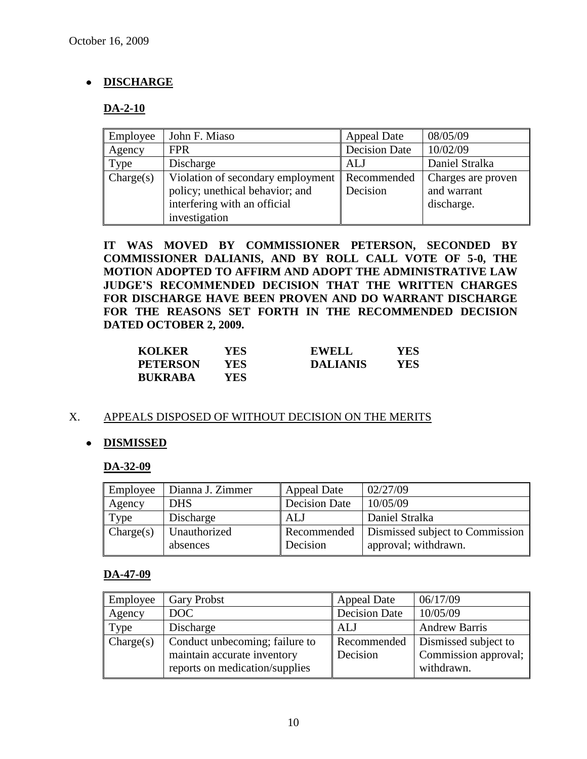# **DISCHARGE**

# **DA-2-10**

| Employee  | John F. Miaso                     | Appeal Date          | 08/05/09           |
|-----------|-----------------------------------|----------------------|--------------------|
| Agency    | <b>FPR</b>                        | <b>Decision Date</b> | 10/02/09           |
| Type      | Discharge                         | ALJ                  | Daniel Stralka     |
| Change(s) | Violation of secondary employment | Recommended          | Charges are proven |
|           | policy; unethical behavior; and   | Decision             | and warrant        |
|           | interfering with an official      |                      | discharge.         |
|           | investigation                     |                      |                    |

**IT WAS MOVED BY COMMISSIONER PETERSON, SECONDED BY COMMISSIONER DALIANIS, AND BY ROLL CALL VOTE OF 5-0, THE MOTION ADOPTED TO AFFIRM AND ADOPT THE ADMINISTRATIVE LAW JUDGE'S RECOMMENDED DECISION THAT THE WRITTEN CHARGES FOR DISCHARGE HAVE BEEN PROVEN AND DO WARRANT DISCHARGE FOR THE REASONS SET FORTH IN THE RECOMMENDED DECISION DATED OCTOBER 2, 2009.**

| <b>KOLKER</b>   | YES   | <b>EWELL</b>    | YES |
|-----------------|-------|-----------------|-----|
| <b>PETERSON</b> | YES.  | <b>DALIANIS</b> | YES |
| <b>BUKRABA</b>  | YES ! |                 |     |

## X. APPEALS DISPOSED OF WITHOUT DECISION ON THE MERITS

# **DISMISSED**

## **DA-32-09**

| Employee  | Dianna J. Zimmer         | <b>Appeal Date</b>      | 02/27/09                                                |
|-----------|--------------------------|-------------------------|---------------------------------------------------------|
| Agency    | <b>DHS</b>               | Decision Date           | 10/05/09                                                |
| Type      | Discharge                | ALJ                     | Daniel Stralka                                          |
| Change(s) | Unauthorized<br>absences | Recommended<br>Decision | Dismissed subject to Commission<br>approval; withdrawn. |

## **DA-47-09**

| Employee  | <b>Gary Probst</b>             | <b>Appeal Date</b>   | 06/17/09             |
|-----------|--------------------------------|----------------------|----------------------|
| Agency    | DOC                            | <b>Decision Date</b> | 10/05/09             |
| Type      | Discharge                      | <b>ALJ</b>           | <b>Andrew Barris</b> |
| Change(s) | Conduct unbecoming; failure to | Recommended          | Dismissed subject to |
|           | maintain accurate inventory    | Decision             | Commission approval; |
|           | reports on medication/supplies |                      | withdrawn.           |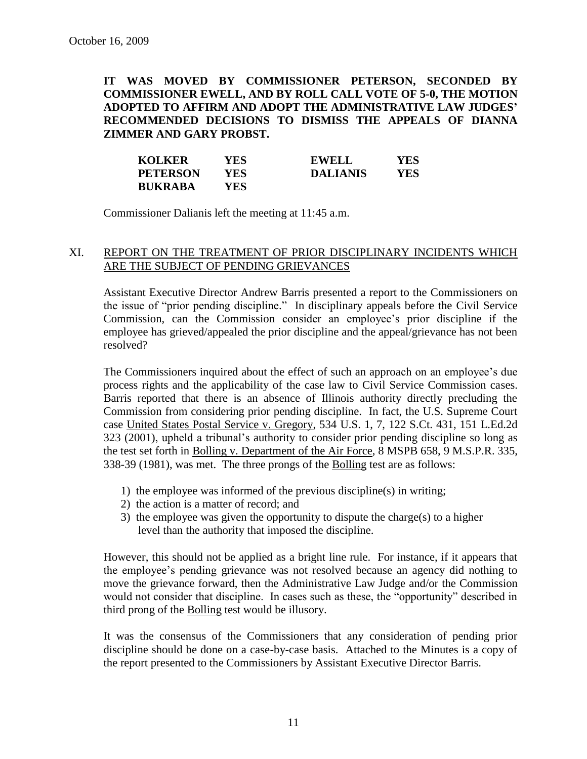**IT WAS MOVED BY COMMISSIONER PETERSON, SECONDED BY COMMISSIONER EWELL, AND BY ROLL CALL VOTE OF 5-0, THE MOTION ADOPTED TO AFFIRM AND ADOPT THE ADMINISTRATIVE LAW JUDGES' RECOMMENDED DECISIONS TO DISMISS THE APPEALS OF DIANNA ZIMMER AND GARY PROBST.**

| <b>KOLKER</b>   | YES  | <b>EWELL</b>    | YES |
|-----------------|------|-----------------|-----|
| <b>PETERSON</b> | YES. | <b>DALIANIS</b> | YES |
| <b>BUKRABA</b>  | YES  |                 |     |

Commissioner Dalianis left the meeting at 11:45 a.m.

# XI. REPORT ON THE TREATMENT OF PRIOR DISCIPLINARY INCIDENTS WHICH ARE THE SUBJECT OF PENDING GRIEVANCES

Assistant Executive Director Andrew Barris presented a report to the Commissioners on the issue of "prior pending discipline." In disciplinary appeals before the Civil Service Commission, can the Commission consider an employee's prior discipline if the employee has grieved/appealed the prior discipline and the appeal/grievance has not been resolved?

The Commissioners inquired about the effect of such an approach on an employee's due process rights and the applicability of the case law to Civil Service Commission cases. Barris reported that there is an absence of Illinois authority directly precluding the Commission from considering prior pending discipline. In fact, the U.S. Supreme Court case United States Postal Service v. Gregory, 534 U.S. 1, 7, 122 S.Ct. 431, 151 L.Ed.2d 323 (2001), upheld a tribunal's authority to consider prior pending discipline so long as the test set forth in Bolling v. Department of the Air Force, 8 MSPB 658, 9 M.S.P.R. 335, 338-39 (1981), was met. The three prongs of the Bolling test are as follows:

- 1) the employee was informed of the previous discipline(s) in writing;
- 2) the action is a matter of record; and
- 3) the employee was given the opportunity to dispute the charge(s) to a higher level than the authority that imposed the discipline.

However, this should not be applied as a bright line rule. For instance, if it appears that the employee's pending grievance was not resolved because an agency did nothing to move the grievance forward, then the Administrative Law Judge and/or the Commission would not consider that discipline. In cases such as these, the "opportunity" described in third prong of the Bolling test would be illusory.

It was the consensus of the Commissioners that any consideration of pending prior discipline should be done on a case-by-case basis. Attached to the Minutes is a copy of the report presented to the Commissioners by Assistant Executive Director Barris.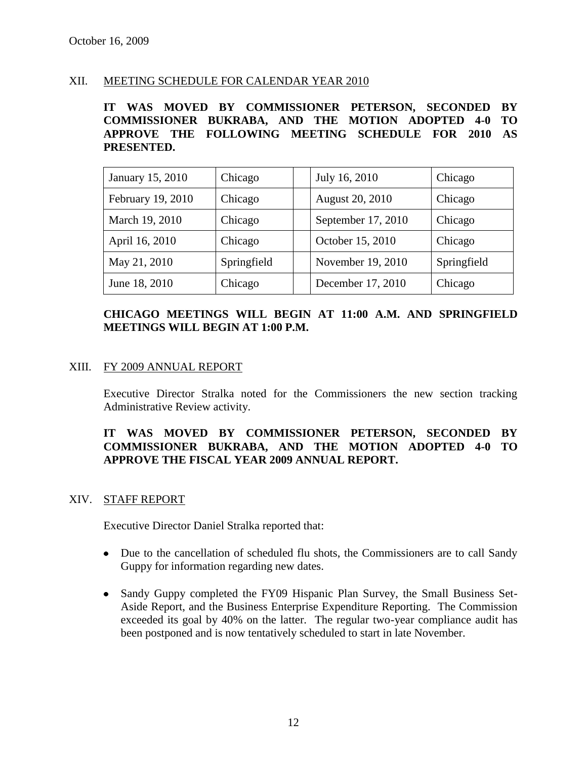# XII. MEETING SCHEDULE FOR CALENDAR YEAR 2010

**IT WAS MOVED BY COMMISSIONER PETERSON, SECONDED BY COMMISSIONER BUKRABA, AND THE MOTION ADOPTED 4-0 TO APPROVE THE FOLLOWING MEETING SCHEDULE FOR 2010 AS PRESENTED.**

| January 15, 2010  | Chicago     | July 16, 2010      | Chicago     |
|-------------------|-------------|--------------------|-------------|
| February 19, 2010 | Chicago     | August 20, 2010    | Chicago     |
| March 19, 2010    | Chicago     | September 17, 2010 | Chicago     |
| April 16, 2010    | Chicago     | October 15, 2010   | Chicago     |
| May 21, 2010      | Springfield | November 19, 2010  | Springfield |
| June 18, 2010     | Chicago     | December 17, 2010  | Chicago     |

# **CHICAGO MEETINGS WILL BEGIN AT 11:00 A.M. AND SPRINGFIELD MEETINGS WILL BEGIN AT 1:00 P.M.**

## XIII. FY 2009 ANNUAL REPORT

Executive Director Stralka noted for the Commissioners the new section tracking Administrative Review activity.

# **IT WAS MOVED BY COMMISSIONER PETERSON, SECONDED BY COMMISSIONER BUKRABA, AND THE MOTION ADOPTED 4-0 TO APPROVE THE FISCAL YEAR 2009 ANNUAL REPORT.**

#### XIV. STAFF REPORT

Executive Director Daniel Stralka reported that:

- Due to the cancellation of scheduled flu shots, the Commissioners are to call Sandy Guppy for information regarding new dates.
- Sandy Guppy completed the FY09 Hispanic Plan Survey, the Small Business Set-Aside Report, and the Business Enterprise Expenditure Reporting. The Commission exceeded its goal by 40% on the latter. The regular two-year compliance audit has been postponed and is now tentatively scheduled to start in late November.